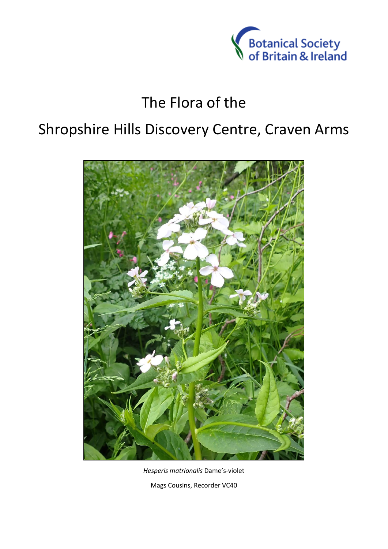

## The Flora of the

## Shropshire Hills Discovery Centre, Craven Arms



*Hesperis matrionalis* Dame's-violet Mags Cousins, Recorder VC40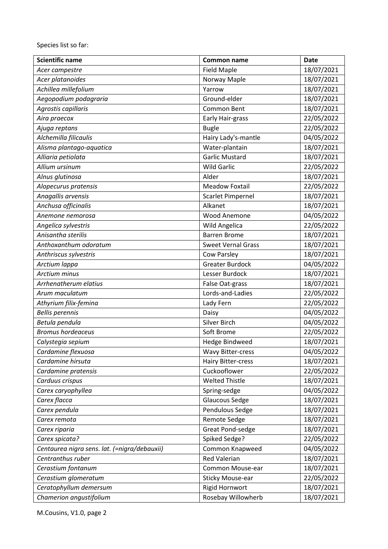Species list so far:

| <b>Scientific name</b>                       | Common name               | <b>Date</b> |
|----------------------------------------------|---------------------------|-------------|
| Acer campestre                               | <b>Field Maple</b>        | 18/07/2021  |
| Acer platanoides                             | Norway Maple              | 18/07/2021  |
| Achillea millefolium                         | Yarrow                    | 18/07/2021  |
| Aegopodium podagraria                        | Ground-elder              | 18/07/2021  |
| Agrostis capillaris                          | Common Bent               | 18/07/2021  |
| Aira praecox                                 | Early Hair-grass          | 22/05/2022  |
| Ajuga reptans                                | <b>Bugle</b>              | 22/05/2022  |
| Alchemilla filicaulis                        | Hairy Lady's-mantle       | 04/05/2022  |
| Alisma plantago-aquatica                     | Water-plantain            | 18/07/2021  |
| Alliaria petiolata                           | <b>Garlic Mustard</b>     | 18/07/2021  |
| Allium ursinum                               | <b>Wild Garlic</b>        | 22/05/2022  |
| Alnus glutinosa                              | Alder                     | 18/07/2021  |
| Alopecurus pratensis                         | <b>Meadow Foxtail</b>     | 22/05/2022  |
| Anagallis arvensis                           | <b>Scarlet Pimpernel</b>  | 18/07/2021  |
| Anchusa officinalis                          | Alkanet                   | 18/07/2021  |
| Anemone nemorosa                             | Wood Anemone              | 04/05/2022  |
| Angelica sylvestris                          | <b>Wild Angelica</b>      | 22/05/2022  |
| Anisantha sterilis                           | <b>Barren Brome</b>       | 18/07/2021  |
| Anthoxanthum odoratum                        | <b>Sweet Vernal Grass</b> | 18/07/2021  |
| Anthriscus sylvestris                        | Cow Parsley               | 18/07/2021  |
| Arctium lappa                                | <b>Greater Burdock</b>    | 04/05/2022  |
| <b>Arctium minus</b>                         | Lesser Burdock            | 18/07/2021  |
| Arrhenatherum elatius                        | False Oat-grass           | 18/07/2021  |
| Arum maculatum                               | Lords-and-Ladies          | 22/05/2022  |
| Athyrium filix-femina                        | Lady Fern                 | 22/05/2022  |
| <b>Bellis perennis</b>                       | Daisy                     | 04/05/2022  |
| Betula pendula                               | Silver Birch              | 04/05/2022  |
| <b>Bromus hordeaceus</b>                     | Soft Brome                | 22/05/2022  |
| Calystegia sepium                            | <b>Hedge Bindweed</b>     | 18/07/2021  |
| Cardamine flexuosa                           | <b>Wavy Bitter-cress</b>  | 04/05/2022  |
| Cardamine hirsuta                            | <b>Hairy Bitter-cress</b> | 18/07/2021  |
| Cardamine pratensis                          | Cuckooflower              | 22/05/2022  |
| Carduus crispus                              | <b>Welted Thistle</b>     | 18/07/2021  |
| Carex caryophyllea                           | Spring-sedge              | 04/05/2022  |
| Carex flacca                                 | <b>Glaucous Sedge</b>     | 18/07/2021  |
| Carex pendula                                | Pendulous Sedge           | 18/07/2021  |
| Carex remota                                 | Remote Sedge              | 18/07/2021  |
| Carex riparia                                | <b>Great Pond-sedge</b>   | 18/07/2021  |
| Carex spicata?                               | Spiked Sedge?             | 22/05/2022  |
| Centaurea nigra sens. lat. (=nigra/debauxii) | Common Knapweed           | 04/05/2022  |
| Centranthus ruber                            | <b>Red Valerian</b>       | 18/07/2021  |
| Cerastium fontanum                           | Common Mouse-ear          | 18/07/2021  |
| Cerastium glomeratum                         | <b>Sticky Mouse-ear</b>   | 22/05/2022  |
| Ceratophyllum demersum                       | <b>Rigid Hornwort</b>     | 18/07/2021  |
| Chamerion angustifolium                      | Rosebay Willowherb        | 18/07/2021  |

M.Cousins, V1.0, page 2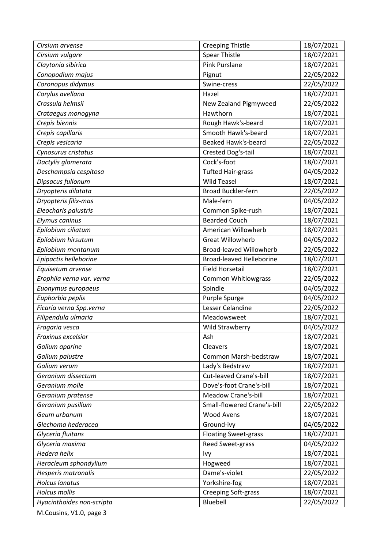| Cirsium arvense           | <b>Creeping Thistle</b>         | 18/07/2021 |
|---------------------------|---------------------------------|------------|
| Cirsium vulgare           | <b>Spear Thistle</b>            | 18/07/2021 |
| Claytonia sibirica        | <b>Pink Purslane</b>            | 18/07/2021 |
| Conopodium majus          | Pignut                          | 22/05/2022 |
| Coronopus didymus         | Swine-cress                     | 22/05/2022 |
| Corylus avellana          | Hazel                           | 18/07/2021 |
| Crassula helmsii          | New Zealand Pigmyweed           | 22/05/2022 |
| Crataegus monogyna        | Hawthorn                        | 18/07/2021 |
| Crepis biennis            | Rough Hawk's-beard              | 18/07/2021 |
| Crepis capillaris         | Smooth Hawk's-beard             | 18/07/2021 |
| Crepis vesicaria          | <b>Beaked Hawk's-beard</b>      | 22/05/2022 |
| Cynosurus cristatus       | Crested Dog's-tail              | 18/07/2021 |
| Dactylis glomerata        | Cock's-foot                     | 18/07/2021 |
| Deschampsia cespitosa     | <b>Tufted Hair-grass</b>        | 04/05/2022 |
| Dipsacus fullonum         | <b>Wild Teasel</b>              | 18/07/2021 |
| Dryopteris dilatata       | <b>Broad Buckler-fern</b>       | 22/05/2022 |
| Dryopteris filix-mas      | Male-fern                       | 04/05/2022 |
| Eleocharis palustris      | Common Spike-rush               | 18/07/2021 |
| Elymus caninus            | <b>Bearded Couch</b>            | 18/07/2021 |
| Epilobium ciliatum        | American Willowherb             | 18/07/2021 |
| Epilobium hirsutum        | <b>Great Willowherb</b>         | 04/05/2022 |
| Epilobium montanum        | <b>Broad-leaved Willowherb</b>  | 22/05/2022 |
| Epipactis helleborine     | <b>Broad-leaved Helleborine</b> | 18/07/2021 |
| Equisetum arvense         | <b>Field Horsetail</b>          | 18/07/2021 |
| Erophila verna var. verna | <b>Common Whitlowgrass</b>      | 22/05/2022 |
| Euonymus europaeus        | Spindle                         | 04/05/2022 |
| Euphorbia peplis          | Purple Spurge                   | 04/05/2022 |
| Ficaria verna Spp.verna   | Lesser Celandine                | 22/05/2022 |
| Filipendula ulmaria       | Meadowsweet                     | 18/07/2021 |
| Fragaria vesca            | Wild Strawberry                 | 04/05/2022 |
| Fraxinus excelsior        | Ash                             | 18/07/2021 |
| Galium aparine            | Cleavers                        | 18/07/2021 |
| Galium palustre           | Common Marsh-bedstraw           | 18/07/2021 |
| Galium verum              | Lady's Bedstraw                 | 18/07/2021 |
| Geranium dissectum        | Cut-leaved Crane's-bill         | 18/07/2021 |
| Geranium molle            | Dove's-foot Crane's-bill        | 18/07/2021 |
| Geranium pratense         | Meadow Crane's-bill             | 18/07/2021 |
| Geranium pusillum         | Small-flowered Crane's-bill     | 22/05/2022 |
| Geum urbanum              | <b>Wood Avens</b>               | 18/07/2021 |
| Glechoma hederacea        | Ground-ivy                      | 04/05/2022 |
| Glyceria fluitans         | <b>Floating Sweet-grass</b>     | 18/07/2021 |
| Glyceria maxima           | Reed Sweet-grass                | 04/05/2022 |
| <b>Hedera helix</b>       | Ivy                             | 18/07/2021 |
| Heracleum sphondylium     | Hogweed                         | 18/07/2021 |
| Hesperis matronalis       | Dame's-violet                   | 22/05/2022 |
| <b>Holcus lanatus</b>     | Yorkshire-fog                   | 18/07/2021 |
| <b>Holcus mollis</b>      | <b>Creeping Soft-grass</b>      | 18/07/2021 |
| Hyacinthoides non-scripta | Bluebell                        | 22/05/2022 |

M.Cousins, V1.0, page 3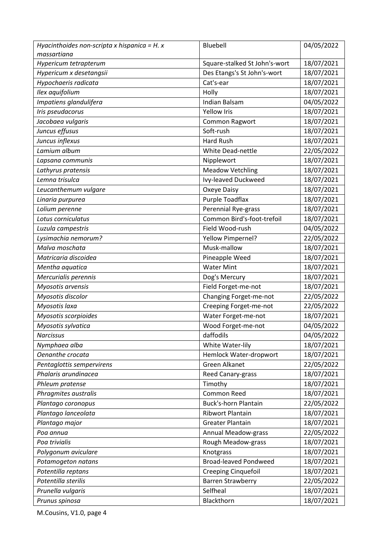| massartiana<br>Square-stalked St John's-wort<br>18/07/2021<br>Hypericum tetrapterum<br>Des Etangs's St John's-wort<br>18/07/2021<br>Hypericum x desetangsii<br>Cat's-ear<br>18/07/2021<br>Hypochaeris radicata<br>18/07/2021<br>Ilex aquifolium<br>Holly<br>04/05/2022<br>Impatiens glandulifera<br><b>Indian Balsam</b><br>Iris pseudacorus<br><b>Yellow Iris</b><br>18/07/2021<br>18/07/2021<br>Jacobaea vulgaris<br>Common Ragwort<br>18/07/2021<br>Juncus effusus<br>Soft-rush<br>Juncus inflexus<br><b>Hard Rush</b><br>18/07/2021<br>Lamium album<br>22/05/2022<br><b>White Dead-nettle</b><br>18/07/2021<br>Lapsana communis<br>Nipplewort<br>18/07/2021<br>Lathyrus pratensis<br><b>Meadow Vetchling</b><br>Lemna trisulca<br>Ivy-leaved Duckweed<br>18/07/2021<br>18/07/2021<br>Oxeye Daisy<br>Leucanthemum vulgare<br>Purple Toadflax<br>18/07/2021<br>Linaria purpurea<br>18/07/2021<br>Lolium perenne<br>Perennial Rye-grass<br>Common Bird's-foot-trefoil<br>Lotus corniculatus<br>18/07/2021<br>04/05/2022<br>Field Wood-rush<br>Luzula campestris<br>Lysimachia nemorum?<br>22/05/2022<br>Yellow Pimpernel?<br>Musk-mallow<br>18/07/2021<br>Malva moschata<br>18/07/2021<br>Matricaria discoidea<br>Pineapple Weed<br><b>Water Mint</b><br>18/07/2021<br>Mentha aquatica<br>18/07/2021<br>Mercurialis perennis<br>Dog's Mercury<br>Myosotis arvensis<br>Field Forget-me-not<br>18/07/2021<br>Changing Forget-me-not<br>Myosotis discolor<br>22/05/2022<br>Myosotis laxa<br>Creeping Forget-me-not<br>22/05/2022<br>Myosotis scorpioides<br>Water Forget-me-not<br>18/07/2021<br>Myosotis sylvatica<br>04/05/2022<br>Wood Forget-me-not<br><b>Narcissus</b><br>daffodils<br>04/05/2022<br>18/07/2021<br>White Water-lily<br>Nymphaea alba<br>Oenanthe crocata<br>Hemlock Water-dropwort<br>18/07/2021<br><b>Green Alkanet</b><br>22/05/2022<br>Pentaglottis sempervirens<br>Phalaris arundinacea<br>18/07/2021<br>Reed Canary-grass<br>18/07/2021<br>Timothy<br>Phleum pratense<br>Phragmites australis<br>Common Reed<br>18/07/2021<br><b>Buck's-horn Plantain</b><br>22/05/2022<br>Plantago coronopus<br>Plantago lanceolata<br>18/07/2021<br><b>Ribwort Plantain</b><br>18/07/2021<br><b>Greater Plantain</b><br>Plantago major<br>22/05/2022<br><b>Annual Meadow-grass</b><br>Poa annua<br>18/07/2021<br>Poa trivialis<br>Rough Meadow-grass<br>18/07/2021<br>Knotgrass<br>Polygonum aviculare<br>18/07/2021<br><b>Broad-leaved Pondweed</b><br>Potamogeton natans<br>Potentilla reptans<br>18/07/2021<br><b>Creeping Cinquefoil</b><br>Potentilla sterilis<br>22/05/2022<br><b>Barren Strawberry</b><br>18/07/2021<br>Prunella vulgaris<br>Selfheal<br>18/07/2021<br>Prunus spinosa<br>Blackthorn | Hyacinthoides non-scripta x hispanica = $H. x$ | Bluebell | 04/05/2022 |
|----------------------------------------------------------------------------------------------------------------------------------------------------------------------------------------------------------------------------------------------------------------------------------------------------------------------------------------------------------------------------------------------------------------------------------------------------------------------------------------------------------------------------------------------------------------------------------------------------------------------------------------------------------------------------------------------------------------------------------------------------------------------------------------------------------------------------------------------------------------------------------------------------------------------------------------------------------------------------------------------------------------------------------------------------------------------------------------------------------------------------------------------------------------------------------------------------------------------------------------------------------------------------------------------------------------------------------------------------------------------------------------------------------------------------------------------------------------------------------------------------------------------------------------------------------------------------------------------------------------------------------------------------------------------------------------------------------------------------------------------------------------------------------------------------------------------------------------------------------------------------------------------------------------------------------------------------------------------------------------------------------------------------------------------------------------------------------------------------------------------------------------------------------------------------------------------------------------------------------------------------------------------------------------------------------------------------------------------------------------------------------------------------------------------------------------------------------------------------------------------------------------------------------------------------------------------------------------------------------------------------------------------------------------------------------------------------------------------|------------------------------------------------|----------|------------|
|                                                                                                                                                                                                                                                                                                                                                                                                                                                                                                                                                                                                                                                                                                                                                                                                                                                                                                                                                                                                                                                                                                                                                                                                                                                                                                                                                                                                                                                                                                                                                                                                                                                                                                                                                                                                                                                                                                                                                                                                                                                                                                                                                                                                                                                                                                                                                                                                                                                                                                                                                                                                                                                                                                                      |                                                |          |            |
|                                                                                                                                                                                                                                                                                                                                                                                                                                                                                                                                                                                                                                                                                                                                                                                                                                                                                                                                                                                                                                                                                                                                                                                                                                                                                                                                                                                                                                                                                                                                                                                                                                                                                                                                                                                                                                                                                                                                                                                                                                                                                                                                                                                                                                                                                                                                                                                                                                                                                                                                                                                                                                                                                                                      |                                                |          |            |
|                                                                                                                                                                                                                                                                                                                                                                                                                                                                                                                                                                                                                                                                                                                                                                                                                                                                                                                                                                                                                                                                                                                                                                                                                                                                                                                                                                                                                                                                                                                                                                                                                                                                                                                                                                                                                                                                                                                                                                                                                                                                                                                                                                                                                                                                                                                                                                                                                                                                                                                                                                                                                                                                                                                      |                                                |          |            |
|                                                                                                                                                                                                                                                                                                                                                                                                                                                                                                                                                                                                                                                                                                                                                                                                                                                                                                                                                                                                                                                                                                                                                                                                                                                                                                                                                                                                                                                                                                                                                                                                                                                                                                                                                                                                                                                                                                                                                                                                                                                                                                                                                                                                                                                                                                                                                                                                                                                                                                                                                                                                                                                                                                                      |                                                |          |            |
|                                                                                                                                                                                                                                                                                                                                                                                                                                                                                                                                                                                                                                                                                                                                                                                                                                                                                                                                                                                                                                                                                                                                                                                                                                                                                                                                                                                                                                                                                                                                                                                                                                                                                                                                                                                                                                                                                                                                                                                                                                                                                                                                                                                                                                                                                                                                                                                                                                                                                                                                                                                                                                                                                                                      |                                                |          |            |
|                                                                                                                                                                                                                                                                                                                                                                                                                                                                                                                                                                                                                                                                                                                                                                                                                                                                                                                                                                                                                                                                                                                                                                                                                                                                                                                                                                                                                                                                                                                                                                                                                                                                                                                                                                                                                                                                                                                                                                                                                                                                                                                                                                                                                                                                                                                                                                                                                                                                                                                                                                                                                                                                                                                      |                                                |          |            |
|                                                                                                                                                                                                                                                                                                                                                                                                                                                                                                                                                                                                                                                                                                                                                                                                                                                                                                                                                                                                                                                                                                                                                                                                                                                                                                                                                                                                                                                                                                                                                                                                                                                                                                                                                                                                                                                                                                                                                                                                                                                                                                                                                                                                                                                                                                                                                                                                                                                                                                                                                                                                                                                                                                                      |                                                |          |            |
|                                                                                                                                                                                                                                                                                                                                                                                                                                                                                                                                                                                                                                                                                                                                                                                                                                                                                                                                                                                                                                                                                                                                                                                                                                                                                                                                                                                                                                                                                                                                                                                                                                                                                                                                                                                                                                                                                                                                                                                                                                                                                                                                                                                                                                                                                                                                                                                                                                                                                                                                                                                                                                                                                                                      |                                                |          |            |
|                                                                                                                                                                                                                                                                                                                                                                                                                                                                                                                                                                                                                                                                                                                                                                                                                                                                                                                                                                                                                                                                                                                                                                                                                                                                                                                                                                                                                                                                                                                                                                                                                                                                                                                                                                                                                                                                                                                                                                                                                                                                                                                                                                                                                                                                                                                                                                                                                                                                                                                                                                                                                                                                                                                      |                                                |          |            |
|                                                                                                                                                                                                                                                                                                                                                                                                                                                                                                                                                                                                                                                                                                                                                                                                                                                                                                                                                                                                                                                                                                                                                                                                                                                                                                                                                                                                                                                                                                                                                                                                                                                                                                                                                                                                                                                                                                                                                                                                                                                                                                                                                                                                                                                                                                                                                                                                                                                                                                                                                                                                                                                                                                                      |                                                |          |            |
|                                                                                                                                                                                                                                                                                                                                                                                                                                                                                                                                                                                                                                                                                                                                                                                                                                                                                                                                                                                                                                                                                                                                                                                                                                                                                                                                                                                                                                                                                                                                                                                                                                                                                                                                                                                                                                                                                                                                                                                                                                                                                                                                                                                                                                                                                                                                                                                                                                                                                                                                                                                                                                                                                                                      |                                                |          |            |
|                                                                                                                                                                                                                                                                                                                                                                                                                                                                                                                                                                                                                                                                                                                                                                                                                                                                                                                                                                                                                                                                                                                                                                                                                                                                                                                                                                                                                                                                                                                                                                                                                                                                                                                                                                                                                                                                                                                                                                                                                                                                                                                                                                                                                                                                                                                                                                                                                                                                                                                                                                                                                                                                                                                      |                                                |          |            |
|                                                                                                                                                                                                                                                                                                                                                                                                                                                                                                                                                                                                                                                                                                                                                                                                                                                                                                                                                                                                                                                                                                                                                                                                                                                                                                                                                                                                                                                                                                                                                                                                                                                                                                                                                                                                                                                                                                                                                                                                                                                                                                                                                                                                                                                                                                                                                                                                                                                                                                                                                                                                                                                                                                                      |                                                |          |            |
|                                                                                                                                                                                                                                                                                                                                                                                                                                                                                                                                                                                                                                                                                                                                                                                                                                                                                                                                                                                                                                                                                                                                                                                                                                                                                                                                                                                                                                                                                                                                                                                                                                                                                                                                                                                                                                                                                                                                                                                                                                                                                                                                                                                                                                                                                                                                                                                                                                                                                                                                                                                                                                                                                                                      |                                                |          |            |
|                                                                                                                                                                                                                                                                                                                                                                                                                                                                                                                                                                                                                                                                                                                                                                                                                                                                                                                                                                                                                                                                                                                                                                                                                                                                                                                                                                                                                                                                                                                                                                                                                                                                                                                                                                                                                                                                                                                                                                                                                                                                                                                                                                                                                                                                                                                                                                                                                                                                                                                                                                                                                                                                                                                      |                                                |          |            |
|                                                                                                                                                                                                                                                                                                                                                                                                                                                                                                                                                                                                                                                                                                                                                                                                                                                                                                                                                                                                                                                                                                                                                                                                                                                                                                                                                                                                                                                                                                                                                                                                                                                                                                                                                                                                                                                                                                                                                                                                                                                                                                                                                                                                                                                                                                                                                                                                                                                                                                                                                                                                                                                                                                                      |                                                |          |            |
|                                                                                                                                                                                                                                                                                                                                                                                                                                                                                                                                                                                                                                                                                                                                                                                                                                                                                                                                                                                                                                                                                                                                                                                                                                                                                                                                                                                                                                                                                                                                                                                                                                                                                                                                                                                                                                                                                                                                                                                                                                                                                                                                                                                                                                                                                                                                                                                                                                                                                                                                                                                                                                                                                                                      |                                                |          |            |
|                                                                                                                                                                                                                                                                                                                                                                                                                                                                                                                                                                                                                                                                                                                                                                                                                                                                                                                                                                                                                                                                                                                                                                                                                                                                                                                                                                                                                                                                                                                                                                                                                                                                                                                                                                                                                                                                                                                                                                                                                                                                                                                                                                                                                                                                                                                                                                                                                                                                                                                                                                                                                                                                                                                      |                                                |          |            |
|                                                                                                                                                                                                                                                                                                                                                                                                                                                                                                                                                                                                                                                                                                                                                                                                                                                                                                                                                                                                                                                                                                                                                                                                                                                                                                                                                                                                                                                                                                                                                                                                                                                                                                                                                                                                                                                                                                                                                                                                                                                                                                                                                                                                                                                                                                                                                                                                                                                                                                                                                                                                                                                                                                                      |                                                |          |            |
|                                                                                                                                                                                                                                                                                                                                                                                                                                                                                                                                                                                                                                                                                                                                                                                                                                                                                                                                                                                                                                                                                                                                                                                                                                                                                                                                                                                                                                                                                                                                                                                                                                                                                                                                                                                                                                                                                                                                                                                                                                                                                                                                                                                                                                                                                                                                                                                                                                                                                                                                                                                                                                                                                                                      |                                                |          |            |
|                                                                                                                                                                                                                                                                                                                                                                                                                                                                                                                                                                                                                                                                                                                                                                                                                                                                                                                                                                                                                                                                                                                                                                                                                                                                                                                                                                                                                                                                                                                                                                                                                                                                                                                                                                                                                                                                                                                                                                                                                                                                                                                                                                                                                                                                                                                                                                                                                                                                                                                                                                                                                                                                                                                      |                                                |          |            |
|                                                                                                                                                                                                                                                                                                                                                                                                                                                                                                                                                                                                                                                                                                                                                                                                                                                                                                                                                                                                                                                                                                                                                                                                                                                                                                                                                                                                                                                                                                                                                                                                                                                                                                                                                                                                                                                                                                                                                                                                                                                                                                                                                                                                                                                                                                                                                                                                                                                                                                                                                                                                                                                                                                                      |                                                |          |            |
|                                                                                                                                                                                                                                                                                                                                                                                                                                                                                                                                                                                                                                                                                                                                                                                                                                                                                                                                                                                                                                                                                                                                                                                                                                                                                                                                                                                                                                                                                                                                                                                                                                                                                                                                                                                                                                                                                                                                                                                                                                                                                                                                                                                                                                                                                                                                                                                                                                                                                                                                                                                                                                                                                                                      |                                                |          |            |
|                                                                                                                                                                                                                                                                                                                                                                                                                                                                                                                                                                                                                                                                                                                                                                                                                                                                                                                                                                                                                                                                                                                                                                                                                                                                                                                                                                                                                                                                                                                                                                                                                                                                                                                                                                                                                                                                                                                                                                                                                                                                                                                                                                                                                                                                                                                                                                                                                                                                                                                                                                                                                                                                                                                      |                                                |          |            |
|                                                                                                                                                                                                                                                                                                                                                                                                                                                                                                                                                                                                                                                                                                                                                                                                                                                                                                                                                                                                                                                                                                                                                                                                                                                                                                                                                                                                                                                                                                                                                                                                                                                                                                                                                                                                                                                                                                                                                                                                                                                                                                                                                                                                                                                                                                                                                                                                                                                                                                                                                                                                                                                                                                                      |                                                |          |            |
|                                                                                                                                                                                                                                                                                                                                                                                                                                                                                                                                                                                                                                                                                                                                                                                                                                                                                                                                                                                                                                                                                                                                                                                                                                                                                                                                                                                                                                                                                                                                                                                                                                                                                                                                                                                                                                                                                                                                                                                                                                                                                                                                                                                                                                                                                                                                                                                                                                                                                                                                                                                                                                                                                                                      |                                                |          |            |
|                                                                                                                                                                                                                                                                                                                                                                                                                                                                                                                                                                                                                                                                                                                                                                                                                                                                                                                                                                                                                                                                                                                                                                                                                                                                                                                                                                                                                                                                                                                                                                                                                                                                                                                                                                                                                                                                                                                                                                                                                                                                                                                                                                                                                                                                                                                                                                                                                                                                                                                                                                                                                                                                                                                      |                                                |          |            |
|                                                                                                                                                                                                                                                                                                                                                                                                                                                                                                                                                                                                                                                                                                                                                                                                                                                                                                                                                                                                                                                                                                                                                                                                                                                                                                                                                                                                                                                                                                                                                                                                                                                                                                                                                                                                                                                                                                                                                                                                                                                                                                                                                                                                                                                                                                                                                                                                                                                                                                                                                                                                                                                                                                                      |                                                |          |            |
|                                                                                                                                                                                                                                                                                                                                                                                                                                                                                                                                                                                                                                                                                                                                                                                                                                                                                                                                                                                                                                                                                                                                                                                                                                                                                                                                                                                                                                                                                                                                                                                                                                                                                                                                                                                                                                                                                                                                                                                                                                                                                                                                                                                                                                                                                                                                                                                                                                                                                                                                                                                                                                                                                                                      |                                                |          |            |
|                                                                                                                                                                                                                                                                                                                                                                                                                                                                                                                                                                                                                                                                                                                                                                                                                                                                                                                                                                                                                                                                                                                                                                                                                                                                                                                                                                                                                                                                                                                                                                                                                                                                                                                                                                                                                                                                                                                                                                                                                                                                                                                                                                                                                                                                                                                                                                                                                                                                                                                                                                                                                                                                                                                      |                                                |          |            |
|                                                                                                                                                                                                                                                                                                                                                                                                                                                                                                                                                                                                                                                                                                                                                                                                                                                                                                                                                                                                                                                                                                                                                                                                                                                                                                                                                                                                                                                                                                                                                                                                                                                                                                                                                                                                                                                                                                                                                                                                                                                                                                                                                                                                                                                                                                                                                                                                                                                                                                                                                                                                                                                                                                                      |                                                |          |            |
|                                                                                                                                                                                                                                                                                                                                                                                                                                                                                                                                                                                                                                                                                                                                                                                                                                                                                                                                                                                                                                                                                                                                                                                                                                                                                                                                                                                                                                                                                                                                                                                                                                                                                                                                                                                                                                                                                                                                                                                                                                                                                                                                                                                                                                                                                                                                                                                                                                                                                                                                                                                                                                                                                                                      |                                                |          |            |
|                                                                                                                                                                                                                                                                                                                                                                                                                                                                                                                                                                                                                                                                                                                                                                                                                                                                                                                                                                                                                                                                                                                                                                                                                                                                                                                                                                                                                                                                                                                                                                                                                                                                                                                                                                                                                                                                                                                                                                                                                                                                                                                                                                                                                                                                                                                                                                                                                                                                                                                                                                                                                                                                                                                      |                                                |          |            |
|                                                                                                                                                                                                                                                                                                                                                                                                                                                                                                                                                                                                                                                                                                                                                                                                                                                                                                                                                                                                                                                                                                                                                                                                                                                                                                                                                                                                                                                                                                                                                                                                                                                                                                                                                                                                                                                                                                                                                                                                                                                                                                                                                                                                                                                                                                                                                                                                                                                                                                                                                                                                                                                                                                                      |                                                |          |            |
|                                                                                                                                                                                                                                                                                                                                                                                                                                                                                                                                                                                                                                                                                                                                                                                                                                                                                                                                                                                                                                                                                                                                                                                                                                                                                                                                                                                                                                                                                                                                                                                                                                                                                                                                                                                                                                                                                                                                                                                                                                                                                                                                                                                                                                                                                                                                                                                                                                                                                                                                                                                                                                                                                                                      |                                                |          |            |
|                                                                                                                                                                                                                                                                                                                                                                                                                                                                                                                                                                                                                                                                                                                                                                                                                                                                                                                                                                                                                                                                                                                                                                                                                                                                                                                                                                                                                                                                                                                                                                                                                                                                                                                                                                                                                                                                                                                                                                                                                                                                                                                                                                                                                                                                                                                                                                                                                                                                                                                                                                                                                                                                                                                      |                                                |          |            |
|                                                                                                                                                                                                                                                                                                                                                                                                                                                                                                                                                                                                                                                                                                                                                                                                                                                                                                                                                                                                                                                                                                                                                                                                                                                                                                                                                                                                                                                                                                                                                                                                                                                                                                                                                                                                                                                                                                                                                                                                                                                                                                                                                                                                                                                                                                                                                                                                                                                                                                                                                                                                                                                                                                                      |                                                |          |            |
|                                                                                                                                                                                                                                                                                                                                                                                                                                                                                                                                                                                                                                                                                                                                                                                                                                                                                                                                                                                                                                                                                                                                                                                                                                                                                                                                                                                                                                                                                                                                                                                                                                                                                                                                                                                                                                                                                                                                                                                                                                                                                                                                                                                                                                                                                                                                                                                                                                                                                                                                                                                                                                                                                                                      |                                                |          |            |
|                                                                                                                                                                                                                                                                                                                                                                                                                                                                                                                                                                                                                                                                                                                                                                                                                                                                                                                                                                                                                                                                                                                                                                                                                                                                                                                                                                                                                                                                                                                                                                                                                                                                                                                                                                                                                                                                                                                                                                                                                                                                                                                                                                                                                                                                                                                                                                                                                                                                                                                                                                                                                                                                                                                      |                                                |          |            |
|                                                                                                                                                                                                                                                                                                                                                                                                                                                                                                                                                                                                                                                                                                                                                                                                                                                                                                                                                                                                                                                                                                                                                                                                                                                                                                                                                                                                                                                                                                                                                                                                                                                                                                                                                                                                                                                                                                                                                                                                                                                                                                                                                                                                                                                                                                                                                                                                                                                                                                                                                                                                                                                                                                                      |                                                |          |            |
|                                                                                                                                                                                                                                                                                                                                                                                                                                                                                                                                                                                                                                                                                                                                                                                                                                                                                                                                                                                                                                                                                                                                                                                                                                                                                                                                                                                                                                                                                                                                                                                                                                                                                                                                                                                                                                                                                                                                                                                                                                                                                                                                                                                                                                                                                                                                                                                                                                                                                                                                                                                                                                                                                                                      |                                                |          |            |
|                                                                                                                                                                                                                                                                                                                                                                                                                                                                                                                                                                                                                                                                                                                                                                                                                                                                                                                                                                                                                                                                                                                                                                                                                                                                                                                                                                                                                                                                                                                                                                                                                                                                                                                                                                                                                                                                                                                                                                                                                                                                                                                                                                                                                                                                                                                                                                                                                                                                                                                                                                                                                                                                                                                      |                                                |          |            |
|                                                                                                                                                                                                                                                                                                                                                                                                                                                                                                                                                                                                                                                                                                                                                                                                                                                                                                                                                                                                                                                                                                                                                                                                                                                                                                                                                                                                                                                                                                                                                                                                                                                                                                                                                                                                                                                                                                                                                                                                                                                                                                                                                                                                                                                                                                                                                                                                                                                                                                                                                                                                                                                                                                                      |                                                |          |            |
|                                                                                                                                                                                                                                                                                                                                                                                                                                                                                                                                                                                                                                                                                                                                                                                                                                                                                                                                                                                                                                                                                                                                                                                                                                                                                                                                                                                                                                                                                                                                                                                                                                                                                                                                                                                                                                                                                                                                                                                                                                                                                                                                                                                                                                                                                                                                                                                                                                                                                                                                                                                                                                                                                                                      |                                                |          |            |
|                                                                                                                                                                                                                                                                                                                                                                                                                                                                                                                                                                                                                                                                                                                                                                                                                                                                                                                                                                                                                                                                                                                                                                                                                                                                                                                                                                                                                                                                                                                                                                                                                                                                                                                                                                                                                                                                                                                                                                                                                                                                                                                                                                                                                                                                                                                                                                                                                                                                                                                                                                                                                                                                                                                      |                                                |          |            |
|                                                                                                                                                                                                                                                                                                                                                                                                                                                                                                                                                                                                                                                                                                                                                                                                                                                                                                                                                                                                                                                                                                                                                                                                                                                                                                                                                                                                                                                                                                                                                                                                                                                                                                                                                                                                                                                                                                                                                                                                                                                                                                                                                                                                                                                                                                                                                                                                                                                                                                                                                                                                                                                                                                                      |                                                |          |            |
|                                                                                                                                                                                                                                                                                                                                                                                                                                                                                                                                                                                                                                                                                                                                                                                                                                                                                                                                                                                                                                                                                                                                                                                                                                                                                                                                                                                                                                                                                                                                                                                                                                                                                                                                                                                                                                                                                                                                                                                                                                                                                                                                                                                                                                                                                                                                                                                                                                                                                                                                                                                                                                                                                                                      |                                                |          |            |

M.Cousins, V1.0, page 4